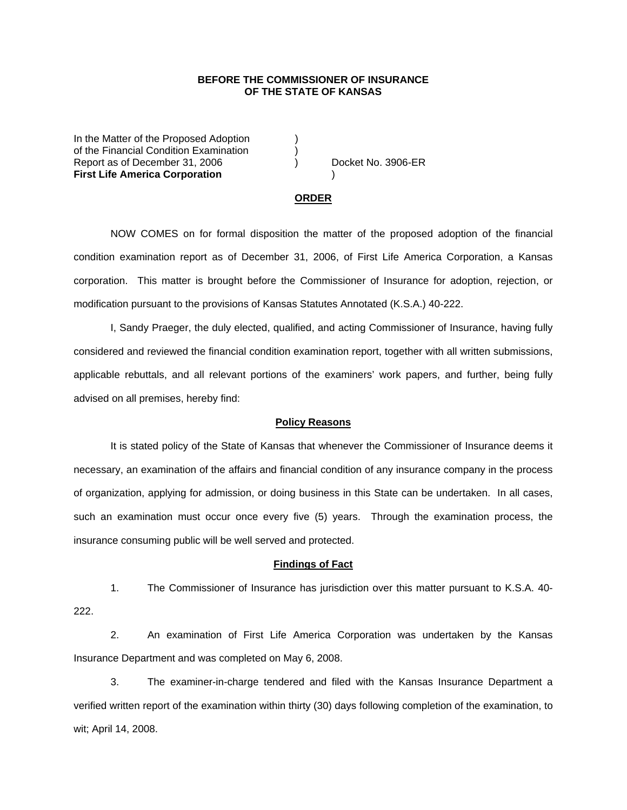## **BEFORE THE COMMISSIONER OF INSURANCE OF THE STATE OF KANSAS**

In the Matter of the Proposed Adoption of the Financial Condition Examination ) Report as of December 31, 2006 (a) Docket No. 3906-ER **First Life America Corporation** )

#### **ORDER**

 NOW COMES on for formal disposition the matter of the proposed adoption of the financial condition examination report as of December 31, 2006, of First Life America Corporation, a Kansas corporation. This matter is brought before the Commissioner of Insurance for adoption, rejection, or modification pursuant to the provisions of Kansas Statutes Annotated (K.S.A.) 40-222.

 I, Sandy Praeger, the duly elected, qualified, and acting Commissioner of Insurance, having fully considered and reviewed the financial condition examination report, together with all written submissions, applicable rebuttals, and all relevant portions of the examiners' work papers, and further, being fully advised on all premises, hereby find:

### **Policy Reasons**

 It is stated policy of the State of Kansas that whenever the Commissioner of Insurance deems it necessary, an examination of the affairs and financial condition of any insurance company in the process of organization, applying for admission, or doing business in this State can be undertaken. In all cases, such an examination must occur once every five (5) years. Through the examination process, the insurance consuming public will be well served and protected.

#### **Findings of Fact**

 1. The Commissioner of Insurance has jurisdiction over this matter pursuant to K.S.A. 40- 222.

 2. An examination of First Life America Corporation was undertaken by the Kansas Insurance Department and was completed on May 6, 2008.

 3. The examiner-in-charge tendered and filed with the Kansas Insurance Department a verified written report of the examination within thirty (30) days following completion of the examination, to wit; April 14, 2008.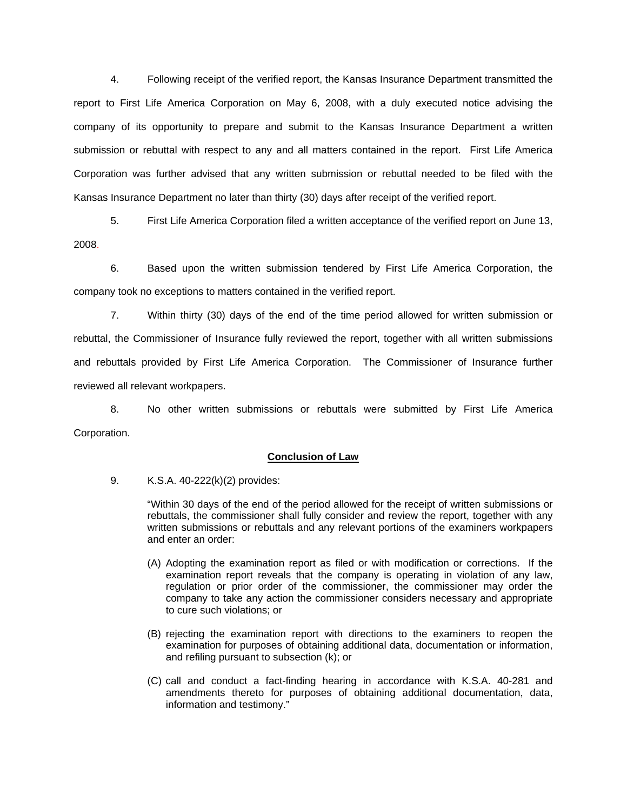4. Following receipt of the verified report, the Kansas Insurance Department transmitted the report to First Life America Corporation on May 6, 2008, with a duly executed notice advising the company of its opportunity to prepare and submit to the Kansas Insurance Department a written submission or rebuttal with respect to any and all matters contained in the report. First Life America Corporation was further advised that any written submission or rebuttal needed to be filed with the Kansas Insurance Department no later than thirty (30) days after receipt of the verified report.

 5. First Life America Corporation filed a written acceptance of the verified report on June 13, 2008.

6. Based upon the written submission tendered by First Life America Corporation, the company took no exceptions to matters contained in the verified report.

 7. Within thirty (30) days of the end of the time period allowed for written submission or rebuttal, the Commissioner of Insurance fully reviewed the report, together with all written submissions and rebuttals provided by First Life America Corporation. The Commissioner of Insurance further reviewed all relevant workpapers.

 8. No other written submissions or rebuttals were submitted by First Life America Corporation.

## **Conclusion of Law**

9. K.S.A. 40-222(k)(2) provides:

"Within 30 days of the end of the period allowed for the receipt of written submissions or rebuttals, the commissioner shall fully consider and review the report, together with any written submissions or rebuttals and any relevant portions of the examiners workpapers and enter an order:

- (A) Adopting the examination report as filed or with modification or corrections. If the examination report reveals that the company is operating in violation of any law, regulation or prior order of the commissioner, the commissioner may order the company to take any action the commissioner considers necessary and appropriate to cure such violations; or
- (B) rejecting the examination report with directions to the examiners to reopen the examination for purposes of obtaining additional data, documentation or information, and refiling pursuant to subsection (k); or
- (C) call and conduct a fact-finding hearing in accordance with K.S.A. 40-281 and amendments thereto for purposes of obtaining additional documentation, data, information and testimony."